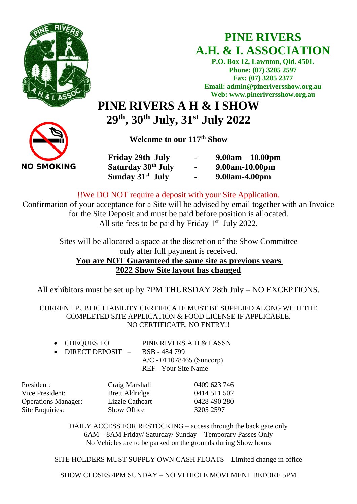

## **PINE RIVERS A.H. & I. ASSOCIATION**

**P.O. Box 12, Lawnton, Qld. 4501. Phone: (07) 3205 2597 Fax: (07) 3205 2377 Email: admin@pineriversshow.org.au Web: www.pineriversshow.org.au**

# **PINE RIVERS A H & I SHOW 29th, 30 th July, 31 st July 2022**

**Welcome to our 117 th Show**

**NO SMOKING** 

**Friday 29th July - 9.00am – 10.00pm Saturday 30th July - 9.00am-10.00pm Sunday 31**

**st July - 9.00am-4.00pm** 

!!We DO NOT require a deposit with your Site Application.

Confirmation of your acceptance for a Site will be advised by email together with an Invoice for the Site Deposit and must be paid before position is allocated. All site fees to be paid by Friday  $1<sup>st</sup>$  July 2022.

> Sites will be allocated a space at the discretion of the Show Committee only after full payment is received. **You are NOT Guaranteed the same site as previous years 2022 Show Site layout has changed**

All exhibitors must be set up by 7PM THURSDAY 28th July – NO EXCEPTIONS.

CURRENT PUBLIC LIABILITY CERTIFICATE MUST BE SUPPLIED ALONG WITH THE COMPLETED SITE APPLICATION & FOOD LICENSE IF APPLICABLE. NO CERTIFICATE, NO ENTRY!!

| • CHEQUES TO                       | PINE RIVERS A H & I ASSN    |
|------------------------------------|-----------------------------|
| • DIRECT DEPOSIT $-$ BSB - 484 799 |                             |
|                                    | $A/C - 011078465$ (Suncorp) |
|                                    | REF - Your Site Name        |

| President:                 | Craig Marshall        | 0409 623 746 |
|----------------------------|-----------------------|--------------|
| Vice President:            | <b>Brett Aldridge</b> | 0414 511 502 |
| <b>Operations Manager:</b> | Lizzie Cathcart       | 0428 490 280 |
| Site Enquiries:            | <b>Show Office</b>    | 3205 2597    |

DAILY ACCESS FOR RESTOCKING – access through the back gate only 6AM – 8AM Friday/ Saturday/ Sunday – Temporary Passes Only No Vehicles are to be parked on the grounds during Show hours

SITE HOLDERS MUST SUPPLY OWN CASH FLOATS – Limited change in office

SHOW CLOSES 4PM SUNDAY – NO VEHICLE MOVEMENT BEFORE 5PM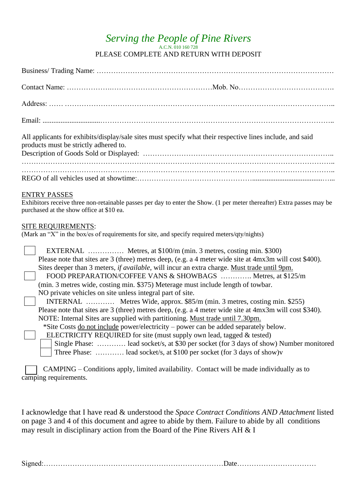#### *Serving the People of Pine Rivers* A.C.N. 010 160 728 PLEASE COMPLETE AND RETURN WITH DEPOSIT

| All applicants for exhibits/display/sale sites must specify what their respective lines include, and said<br>products must be strictly adhered to.                                                                                                                                                                                                                                                                                                                                                                                                                                                                                                                                                                                                                                                                                                                                                                                                                                                                                                                                                            |  |  |
|---------------------------------------------------------------------------------------------------------------------------------------------------------------------------------------------------------------------------------------------------------------------------------------------------------------------------------------------------------------------------------------------------------------------------------------------------------------------------------------------------------------------------------------------------------------------------------------------------------------------------------------------------------------------------------------------------------------------------------------------------------------------------------------------------------------------------------------------------------------------------------------------------------------------------------------------------------------------------------------------------------------------------------------------------------------------------------------------------------------|--|--|
|                                                                                                                                                                                                                                                                                                                                                                                                                                                                                                                                                                                                                                                                                                                                                                                                                                                                                                                                                                                                                                                                                                               |  |  |
| <b>ENTRY PASSES</b><br>Exhibitors receive three non-retainable passes per day to enter the Show. (1 per meter thereafter) Extra passes may be<br>purchased at the show office at \$10 ea.                                                                                                                                                                                                                                                                                                                                                                                                                                                                                                                                                                                                                                                                                                                                                                                                                                                                                                                     |  |  |
| <b>SITE REQUIREMENTS:</b><br>(Mark an "X" in the box/es of requirements for site, and specify required meters/qty/nights)                                                                                                                                                                                                                                                                                                                                                                                                                                                                                                                                                                                                                                                                                                                                                                                                                                                                                                                                                                                     |  |  |
| EXTERNAL  Metres, at \$100/m (min. 3 metres, costing min. \$300)<br>Please note that sites are 3 (three) metres deep, (e.g. a 4 meter wide site at 4mx3m will cost \$400).<br>Sites deeper than 3 meters, <i>if available</i> , will incur an extra charge. Must trade until 9pm.<br>FOOD PREPARATION/COFFEE VANS & SHOWBAGS  Metres, at \$125/m<br>(min. 3 metres wide, costing min. \$375) Meterage must include length of towbar.<br>NO private vehicles on site unless integral part of site.<br>INTERNAL  Metres Wide, approx. \$85/m (min. 3 metres, costing min. \$255)<br>Please note that sites are 3 (three) metres deep, (e.g. a 4 meter wide site at 4mx3m will cost \$340).<br>NOTE: Internal Sites are supplied with partitioning. Must trade until 7.30pm.<br>*Site Costs do not include power/electricity – power can be added separately below.<br>ELECTRICITY REQUIRED for site (must supply own lead, tagged & tested)<br>Single Phase:  lead socket/s, at \$30 per socket (for 3 days of show) Number monitored<br>Three Phase:  lead socket/s, at \$100 per socket (for 3 days of show)v |  |  |
| $\mathcal{C}$ AMPIN $G -$ Conditions apply limited availability. Contact will be made individually as to                                                                                                                                                                                                                                                                                                                                                                                                                                                                                                                                                                                                                                                                                                                                                                                                                                                                                                                                                                                                      |  |  |

 CAMPING – Conditions apply, limited availability. Contact will be made individually as to camping requirements.

I acknowledge that I have read & understood the *Space Contract Conditions AND Attachment* listed on page 3 and 4 of this document and agree to abide by them. Failure to abide by all conditions may result in disciplinary action from the Board of the Pine Rivers AH & I

Signed:…………………………………………………………………Date……………………………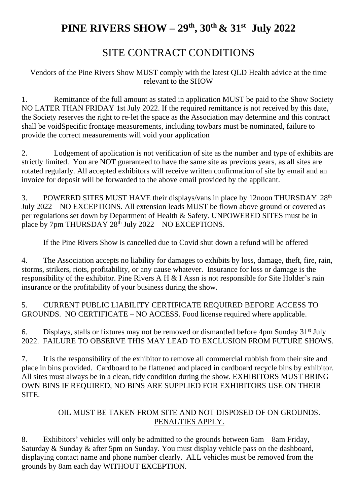## **PINE RIVERS SHOW – 29th, 30 th & 31st July 2022**

## SITE CONTRACT CONDITIONS

Vendors of the Pine Rivers Show MUST comply with the latest QLD Health advice at the time relevant to the SHOW

1. Remittance of the full amount as stated in application MUST be paid to the Show Society NO LATER THAN FRIDAY 1st July 2022. If the required remittance is not received by this date, the Society reserves the right to re-let the space as the Association may determine and this contract shall be voidSpecific frontage measurements, including towbars must be nominated, failure to provide the correct measurements will void your application

2. Lodgement of application is not verification of site as the number and type of exhibits are strictly limited. You are NOT guaranteed to have the same site as previous years, as all sites are rotated regularly. All accepted exhibitors will receive written confirmation of site by email and an invoice for deposit will be forwarded to the above email provided by the applicant.

3. POWERED SITES MUST HAVE their displays/vans in place by 12noon THURSDAY 28<sup>th</sup> July 2022 – NO EXCEPTIONS. All extension leads MUST be flown above ground or covered as per regulations set down by Department of Health & Safety. UNPOWERED SITES must be in place by  $7 \text{pm THURSDAY } 28^{\text{th}}$  July  $2022 - \text{NO EXCEPTIONS}$ .

If the Pine Rivers Show is cancelled due to Covid shut down a refund will be offered

4. The Association accepts no liability for damages to exhibits by loss, damage, theft, fire, rain, storms, strikers, riots, profitability, or any cause whatever. Insurance for loss or damage is the responsibility of the exhibitor. Pine Rivers A H & I Assn is not responsible for Site Holder's rain insurance or the profitability of your business during the show.

5. CURRENT PUBLIC LIABILITY CERTIFICATE REQUIRED BEFORE ACCESS TO GROUNDS. NO CERTIFICATE – NO ACCESS. Food license required where applicable.

6. Displays, stalls or fixtures may not be removed or dismantled before 4pm Sunday  $31<sup>st</sup>$  July 2022. FAILURE TO OBSERVE THIS MAY LEAD TO EXCLUSION FROM FUTURE SHOWS.

7. It is the responsibility of the exhibitor to remove all commercial rubbish from their site and place in bins provided. Cardboard to be flattened and placed in cardboard recycle bins by exhibitor. All sites must always be in a clean, tidy condition during the show. EXHIBITORS MUST BRING OWN BINS IF REQUIRED, NO BINS ARE SUPPLIED FOR EXHIBITORS USE ON THEIR SITE.

#### OIL MUST BE TAKEN FROM SITE AND NOT DISPOSED OF ON GROUNDS. PENALTIES APPLY.

8. Exhibitors' vehicles will only be admitted to the grounds between 6am – 8am Friday, Saturday & Sunday & after 5pm on Sunday. You must display vehicle pass on the dashboard, displaying contact name and phone number clearly. ALL vehicles must be removed from the grounds by 8am each day WITHOUT EXCEPTION.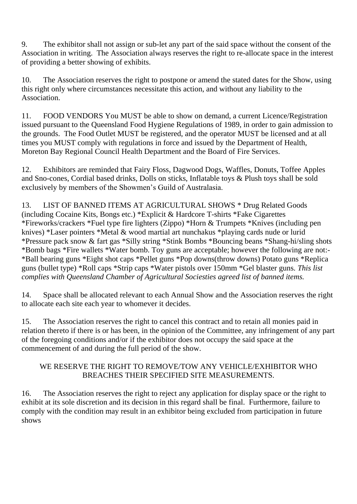9. The exhibitor shall not assign or sub-let any part of the said space without the consent of the Association in writing. The Association always reserves the right to re-allocate space in the interest of providing a better showing of exhibits.

10. The Association reserves the right to postpone or amend the stated dates for the Show, using this right only where circumstances necessitate this action, and without any liability to the Association.

11. FOOD VENDORS You MUST be able to show on demand, a current Licence/Registration issued pursuant to the Queensland Food Hygiene Regulations of 1989, in order to gain admission to the grounds. The Food Outlet MUST be registered, and the operator MUST be licensed and at all times you MUST comply with regulations in force and issued by the Department of Health, Moreton Bay Regional Council Health Department and the Board of Fire Services.

12. Exhibitors are reminded that Fairy Floss, Dagwood Dogs, Waffles, Donuts, Toffee Apples and Sno-cones, Cordial based drinks, Dolls on sticks, Inflatable toys & Plush toys shall be sold exclusively by members of the Showmen's Guild of Australasia.

13. LIST OF BANNED ITEMS AT AGRICULTURAL SHOWS \* Drug Related Goods (including Cocaine Kits, Bongs etc.) \*Explicit & Hardcore T-shirts \*Fake Cigarettes \*Fireworks/crackers \*Fuel type fire lighters (Zippo) \*Horn & Trumpets \*Knives (including pen knives) \*Laser pointers \*Metal & wood martial art nunchakus \*playing cards nude or lurid \*Pressure pack snow & fart gas \*Silly string \*Stink Bombs \*Bouncing beans \*Shang-hi/sling shots \*Bomb bags \*Fire wallets \*Water bomb. Toy guns are acceptable; however the following are not:- \*Ball bearing guns \*Eight shot caps \*Pellet guns \*Pop downs(throw downs) Potato guns \*Replica guns (bullet type) \*Roll caps \*Strip caps \*Water pistols over 150mm \*Gel blaster guns. *This list complies with Queensland Chamber of Agricultural Sociesties agreed list of banned items.*

14. Space shall be allocated relevant to each Annual Show and the Association reserves the right to allocate each site each year to whomever it decides.

15. The Association reserves the right to cancel this contract and to retain all monies paid in relation thereto if there is or has been, in the opinion of the Committee, any infringement of any part of the foregoing conditions and/or if the exhibitor does not occupy the said space at the commencement of and during the full period of the show.

#### WE RESERVE THE RIGHT TO REMOVE/TOW ANY VEHICLE/EXHIBITOR WHO BREACHES THEIR SPECIFIED SITE MEASUREMENTS.

16. The Association reserves the right to reject any application for display space or the right to exhibit at its sole discretion and its decision in this regard shall be final. Furthermore, failure to comply with the condition may result in an exhibitor being excluded from participation in future shows